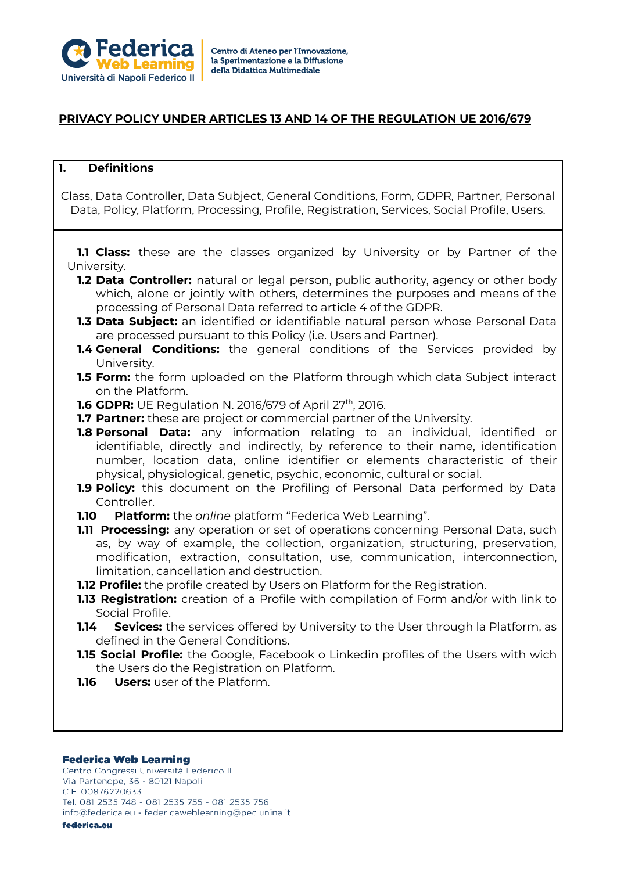

## **PRIVACY POLICY UNDER ARTICLES 13 AND 14 OF THE REGULATION UE 2016/679**

### **1. Definitions**

Class, Data Controller, Data Subject, General Conditions, Form, GDPR, Partner, Personal Data, Policy, Platform, Processing, Profile, Registration, Services, Social Profile, Users.

**1.1 Class:** these are the classes organized by University or by Partner of the University.

- **1.2 Data Controller:** natural or legal person, public authority, agency or other body which, alone or jointly with others, determines the purposes and means of the processing of Personal Data referred to article 4 of the GDPR.
- **1.3 Data Subject:** an identified or identifiable natural person whose Personal Data are processed pursuant to this Policy (i.e. Users and Partner).
- **1.4 General Conditions:** the general conditions of the Services provided by University.
- **1.5 Form:** the form uploaded on the Platform through which data Subject interact on the Platform.
- **1.6 GDPR:** UE Regulation N. 2016/679 of April 27<sup>th</sup>, 2016.
- **1.7 Partner:** these are project or commercial partner of the University.
- **1.8 Personal Data:** any information relating to an individual, identified or identifiable, directly and indirectly, by reference to their name, identification number, location data, online identifier or elements characteristic of their physical, physiological, genetic, psychic, economic, cultural or social.
- **1.9 Policy:** this document on the Profiling of Personal Data performed by Data Controller.
- **1.10 Platform:** the *online* platform "Federica Web Learning".
- **1.11 Processing:** any operation or set of operations concerning Personal Data, such as, by way of example, the collection, organization, structuring, preservation, modification, extraction, consultation, use, communication, interconnection, limitation, cancellation and destruction.
- **1.12 Profile:** the profile created by Users on Platform for the Registration.
- **1.13 Registration:** creation of a Profile with compilation of Form and/or with link to Social Profile.
- **1.14 Sevices:** the services offered by University to the User through la Platform, as defined in the General Conditions.
- **1.15 Social Profile:** the Google, Facebook o Linkedin profiles of the Users with wich the Users do the Registration on Platform.
- **1.16 Users:** user of the Platform.

### **Federica Web Learning**

Centro Congressi Università Federico II Via Partenope, 36 - 80121 Napoli C.F. 00876220633 Tel. 081 2535 748 - 081 2535 755 - 081 2535 756 info@federica.eu - federicaweblearning@pec.unina.it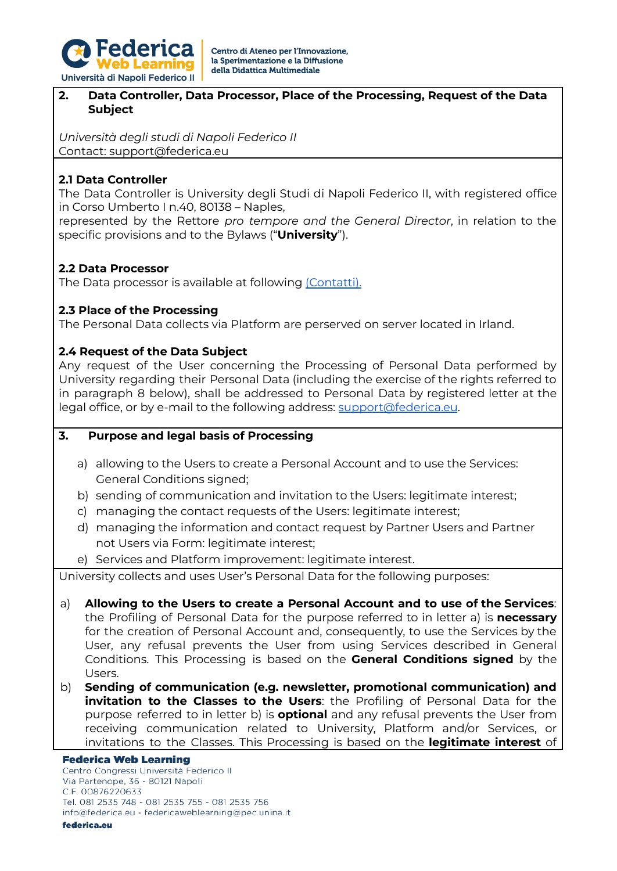

### **2. Data Controller, Data Processor, Place of the Processing, Request of the Data Subject**

*Università degli studi di Napoli Federico II* Contact: support@federica.eu

## **2.1 Data Controller**

The Data Controller is University degli Studi di Napoli Federico II, with registered office in Corso Umberto I n.40, 80138 – Naples,

represented by the Rettore *pro tempore and the General Director*, in relation to the specific provisions and to the Bylaws ("**University**").

## **2.2 Data Processor**

The Data processor is available at following [\(Contatti\)](http://www.unina.it/ateneo/statuto-e-normativa/privacy).

## **2.3 Place of the Processing**

The Personal Data collects via Platform are perserved on server located in Irland.

## **2.4 Request of the Data Subject**

Any request of the User concerning the Processing of Personal Data performed by University regarding their Personal Data (including the exercise of the rights referred to in paragraph 8 below), shall be addressed to Personal Data by registered letter at the legal office, or by e-mail to the following address: [support@federica.eu](mailto:support@federica.eu).

### **3. Purpose and legal basis of Processing**

- a) allowing to the Users to create a Personal Account and to use the Services: General Conditions signed;
- b) sending of communication and invitation to the Users: legitimate interest;
- c) managing the contact requests of the Users: legitimate interest;
- d) managing the information and contact request by Partner Users and Partner not Users via Form: legitimate interest;
- e) Services and Platform improvement: legitimate interest.

University collects and uses User's Personal Data for the following purposes:

- a) **Allowing to the Users to create a Personal Account and to use of the Services**: the Profiling of Personal Data for the purpose referred to in letter a) is **necessary** for the creation of Personal Account and, consequently, to use the Services by the User, any refusal prevents the User from using Services described in General Conditions. This Processing is based on the **General Conditions signed** by the Users.
- b) **Sending of communication (e.g. newsletter, promotional communication) and invitation to the Classes to the Users**: the Profiling of Personal Data for the purpose referred to in letter b) is **optional** and any refusal prevents the User from receiving communication related to University, Platform and/or Services, or invitations to the Classes. This Processing is based on the **legitimate interest** of

### **Federica Web Learning**

Centro Congressi Università Federico II Via Partenope, 36 - 80121 Napoli C.F. 00876220633 Tel. 081 2535 748 - 081 2535 755 - 081 2535 756 info@federica.eu - federicaweblearning@pec.unina.it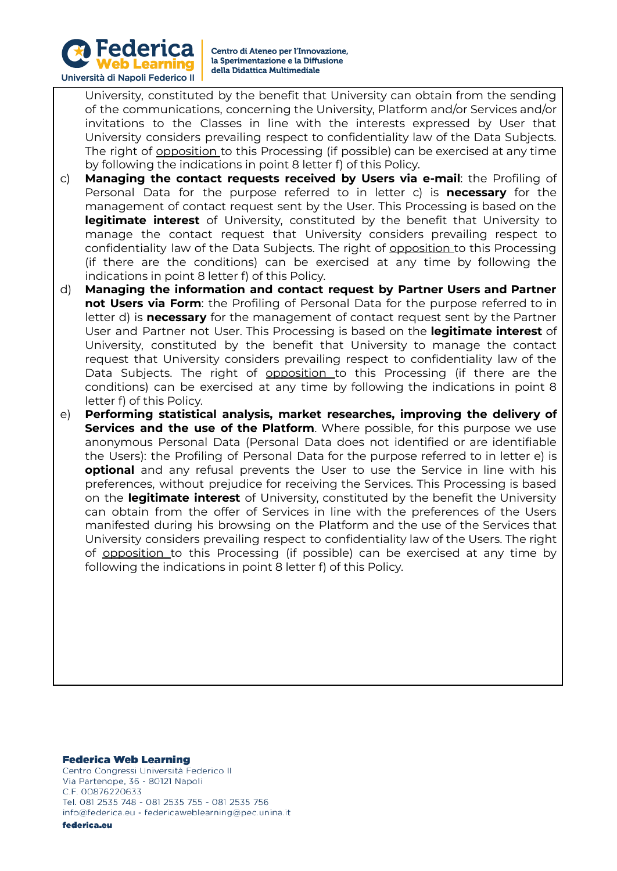

University, constituted by the benefit that University can obtain from the sending of the communications, concerning the University, Platform and/or Services and/or invitations to the Classes in line with the interests expressed by User that University considers prevailing respect to confidentiality law of the Data Subjects. The right of opposition to this Processing (if possible) can be exercised at any time by following the indications in point 8 letter f) of this Policy.

- c) **Managing the contact requests received by Users via e-mail**: the Profiling of Personal Data for the purpose referred to in letter c) is **necessary** for the management of contact request sent by the User. This Processing is based on the **legitimate interest** of University, constituted by the benefit that University to manage the contact request that University considers prevailing respect to confidentiality law of the Data Subjects. The right of opposition to this Processing (if there are the conditions) can be exercised at any time by following the indications in point 8 letter f) of this Policy.
- d) **Managing the information and contact request by Partner Users and Partner not Users via Form**: the Profiling of Personal Data for the purpose referred to in letter d) is **necessary** for the management of contact request sent by the Partner User and Partner not User. This Processing is based on the **legitimate interest** of University, constituted by the benefit that University to manage the contact request that University considers prevailing respect to confidentiality law of the Data Subjects. The right of opposition to this Processing (if there are the conditions) can be exercised at any time by following the indications in point 8 letter f) of this Policy.
- e) **Performing statistical analysis, market researches, improving the delivery of Services and the use of the Platform**. Where possible, for this purpose we use anonymous Personal Data (Personal Data does not identified or are identifiable the Users): the Profiling of Personal Data for the purpose referred to in letter e) is **optional** and any refusal prevents the User to use the Service in line with his preferences, without prejudice for receiving the Services. This Processing is based on the **legitimate interest** of University, constituted by the benefit the University can obtain from the offer of Services in line with the preferences of the Users manifested during his browsing on the Platform and the use of the Services that University considers prevailing respect to confidentiality law of the Users. The right of opposition to this Processing (if possible) can be exercised at any time by following the indications in point 8 letter f) of this Policy.

#### **Federica Web Learning**

Centro Congressi Università Federico II Via Partenope, 36 - 80121 Napoli C.F. 00876220633 Tel. 081 2535 748 - 081 2535 755 - 081 2535 756 info@federica.eu - federicaweblearning@pec.unina.it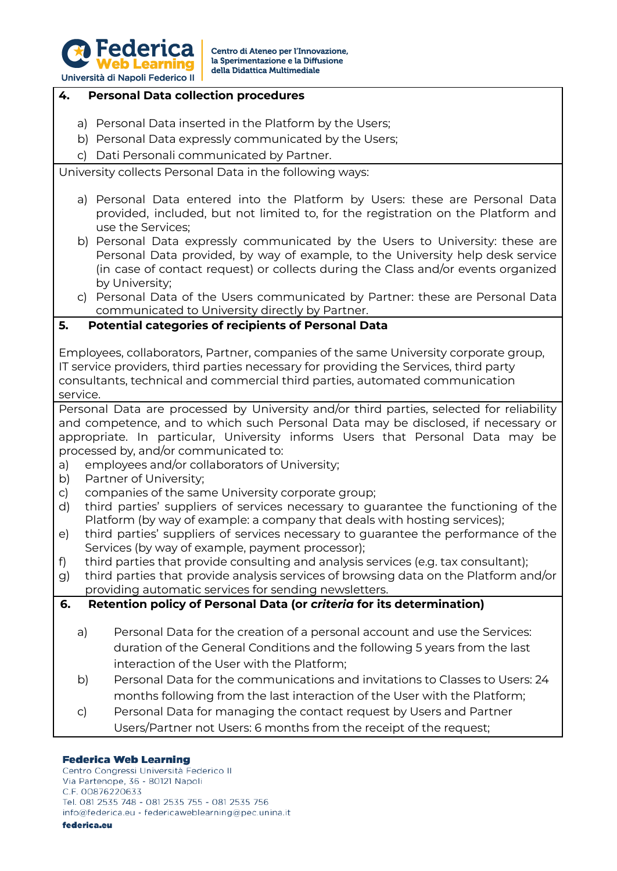

### **4. Personal Data collection procedures**

- a) Personal Data inserted in the Platform by the Users;
- b) Personal Data expressly communicated by the Users;
- c) Dati Personali communicated by Partner.

University collects Personal Data in the following ways:

- a) Personal Data entered into the Platform by Users: these are Personal Data provided, included, but not limited to, for the registration on the Platform and use the Services;
- b) Personal Data expressly communicated by the Users to University: these are Personal Data provided, by way of example, to the University help desk service (in case of contact request) or collects during the Class and/or events organized by University;
- c) Personal Data of the Users communicated by Partner: these are Personal Data communicated to University directly by Partner.

### **5. Potential categories of recipients of Personal Data**

Employees, collaborators, Partner, companies of the same University corporate group, IT service providers, third parties necessary for providing the Services, third party consultants, technical and commercial third parties, automated communication service.

Personal Data are processed by University and/or third parties, selected for reliability and competence, and to which such Personal Data may be disclosed, if necessary or appropriate. In particular, University informs Users that Personal Data may be processed by, and/or communicated to:

- a) employees and/or collaborators of University;
- b) Partner of University;
- c) companies of the same University corporate group;
- d) third parties' suppliers of services necessary to guarantee the functioning of the Platform (by way of example: a company that deals with hosting services);
- e) third parties' suppliers of services necessary to guarantee the performance of the Services (by way of example, payment processor);
- f) third parties that provide consulting and analysis services (e.g. tax consultant);
- g) third parties that provide analysis services of browsing data on the Platform and/or providing automatic services for sending newsletters.

### **6. Retention policy of Personal Data (or** *criteria* **for its determination)**

- a) Personal Data for the creation of a personal account and use the Services: duration of the General Conditions and the following 5 years from the last interaction of the User with the Platform;
- b) Personal Data for the communications and invitations to Classes to Users: 24 months following from the last interaction of the User with the Platform;
- c) Personal Data for managing the contact request by Users and Partner Users/Partner not Users: 6 months from the receipt of the request;

### **Federica Web Learning**

Centro Congressi Università Federico II Via Partenope, 36 - 80121 Napoli C.F. 00876220633 Tel. 081 2535 748 - 081 2535 755 - 081 2535 756 info@federica.eu - federicaweblearning@pec.unina.it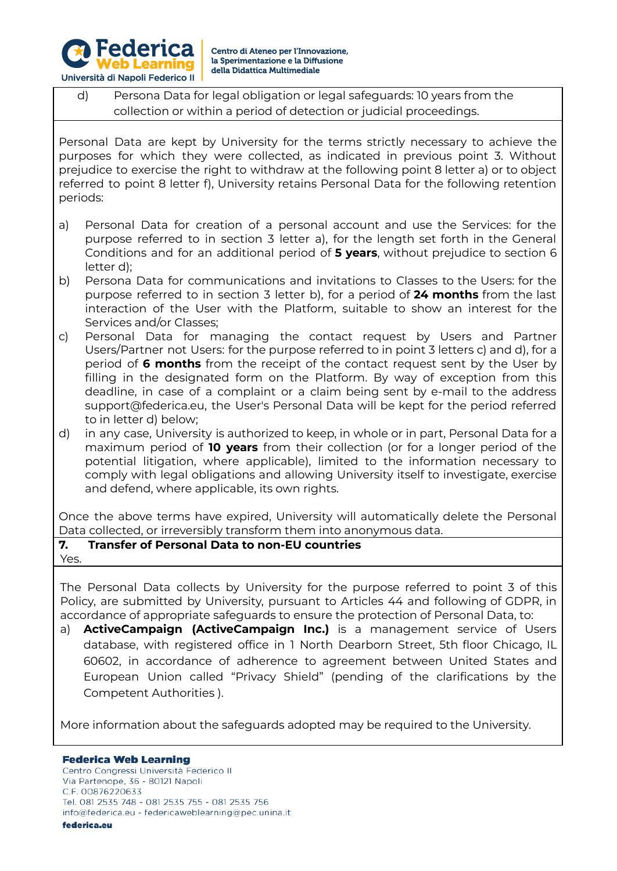

# d) Persona Data for legal obligation or legal safeguards: 10 years from the collection or within a period of detection or judicial proceedings.

Personal Data are kept by University for the terms strictly necessary to achieve the purposes for which they were collected, as indicated in previous point 3. Without prejudice to exercise the right to withdraw at the following point 8 letter a) or to object referred to point 8 letter f), University retains Personal Data for the following retention periods:

- a) Personal Data for creation of a personal account and use the Services: for the purpose referred to in section 3 letter a), for the length set forth in the General Conditions and for an additional period of **5 years**, without prejudice to section 6 letter d);
- b) Persona Data for communications and invitations to Classes to the Users: for the purpose referred to in section 3 letter b), for a period of **24 months** from the last interaction of the User with the Platform, suitable to show an interest for the Services and/or Classes;
- c) Personal Data for managing the contact request by Users and Partner Users/Partner not Users: for the purpose referred to in point 3 letters c) and d), for a period of **6 months** from the receipt of the contact request sent by the User by filling in the designated form on the Platform. By way of exception from this deadline, in case of a complaint or a claim being sent by e-mail to the address support@federica.eu, the User's Personal Data will be kept for the period referred to in letter d) below;
- d) in any case, University is authorized to keep, in whole or in part, Personal Data for a maximum period of **10 years** from their collection (or for a longer period of the potential litigation, where applicable), limited to the information necessary to comply with legal obligations and allowing University itself to investigate, exercise and defend, where applicable, its own rights.

Once the above terms have expired, University will automatically delete the Personal Data collected, or irreversibly transform them into anonymous data.

## **7. Transfer of Personal Data to non-EU countries**

Yes.

The Personal Data collects by University for the purpose referred to point 3 of this Policy, are submitted by University, pursuant to Articles 44 and following of GDPR, in accordance of appropriate safeguards to ensure the protection of Personal Data, to:

a) **ActiveCampaign (ActiveCampaign Inc.)** is a management service of Users database, with registered office in 1 North Dearborn Street, 5th floor Chicago, IL 60602, in accordance of adherence to agreement between United States and European Union called "Privacy Shield" (pending of the clarifications by the Competent Authorities ).

More information about the safeguards adopted may be required to the University.

### **Federica Web Learning**

Centro Congressi Università Federico II Via Partenope, 36 - 80121 Napoli C.F. 00876220633 Tel. 081 2535 748 - 081 2535 755 - 081 2535 756 info@federica.eu - federicaweblearning@pec.unina.it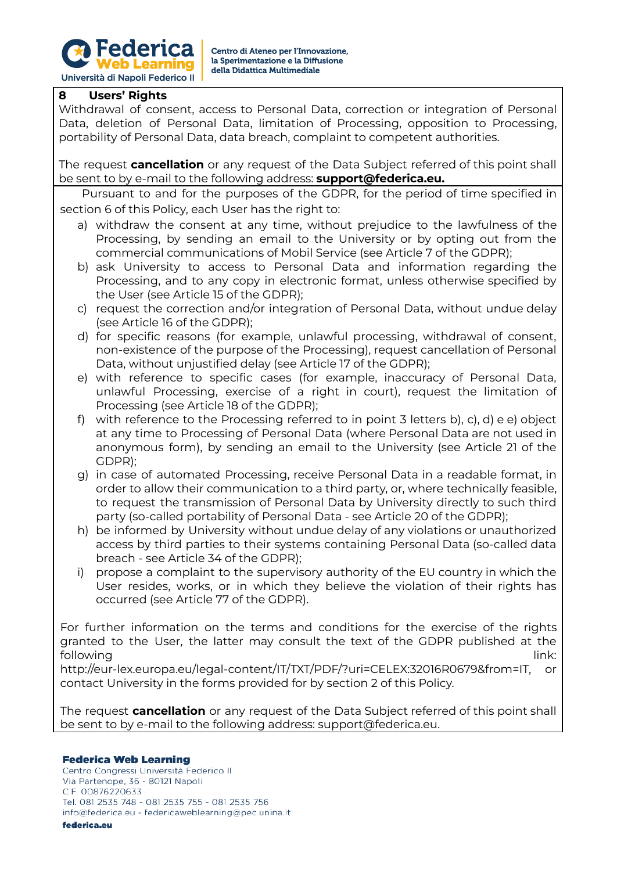

## **8 Users' Rights**

Withdrawal of consent, access to Personal Data, correction or integration of Personal Data, deletion of Personal Data, limitation of Processing, opposition to Processing, portability of Personal Data, data breach, complaint to competent authorities.

The request **cancellation** or any request of the Data Subject referred of this point shall be sent to by e-mail to the following address: **[support@federica.eu.](mailto:support@federica.eu)**

Pursuant to and for the purposes of the GDPR, for the period of time specified in section 6 of this Policy, each User has the right to:

- a) withdraw the consent at any time, without prejudice to the lawfulness of the Processing, by sending an email to the University or by opting out from the commercial communications of Mobil Service (see Article 7 of the GDPR);
- b) ask University to access to Personal Data and information regarding the Processing, and to any copy in electronic format, unless otherwise specified by the User (see Article 15 of the GDPR);
- c) request the correction and/or integration of Personal Data, without undue delay (see Article 16 of the GDPR);
- d) for specific reasons (for example, unlawful processing, withdrawal of consent, non-existence of the purpose of the Processing), request cancellation of Personal Data, without unjustified delay (see Article 17 of the GDPR);
- e) with reference to specific cases (for example, inaccuracy of Personal Data, unlawful Processing, exercise of a right in court), request the limitation of Processing (see Article 18 of the GDPR);
- f) with reference to the Processing referred to in point 3 letters b), c), d) e e) object at any time to Processing of Personal Data (where Personal Data are not used in anonymous form), by sending an email to the University (see Article 21 of the GDPR);
- g) in case of automated Processing, receive Personal Data in a readable format, in order to allow their communication to a third party, or, where technically feasible, to request the transmission of Personal Data by University directly to such third party (so-called portability of Personal Data - see Article 20 of the GDPR);
- h) be informed by University without undue delay of any violations or unauthorized access by third parties to their systems containing Personal Data (so-called data breach - see Article 34 of the GDPR);
- i) propose a complaint to the supervisory authority of the EU country in which the User resides, works, or in which they believe the violation of their rights has occurred (see Article 77 of the GDPR).

For further information on the terms and conditions for the exercise of the rights granted to the User, the latter may consult the text of the GDPR published at the following link:

http://eur-lex.europa.eu/legal-content/IT/TXT/PDF/?uri=CELEX:32016R0679&from=IT, or contact University in the forms provided for by section 2 of this Policy.

The request **cancellation** or any request of the Data Subject referred of this point shall be sent to by e-mail to the following address: [support@federica.eu.](mailto:support@federica.eu)

### **Federica Web Learning**

Centro Congressi Università Federico II Via Partenope, 36 - 80121 Napoli C.F. 00876220633 Tel. 081 2535 748 - 081 2535 755 - 081 2535 756 info@federica.eu - federicaweblearning@pec.unina.it